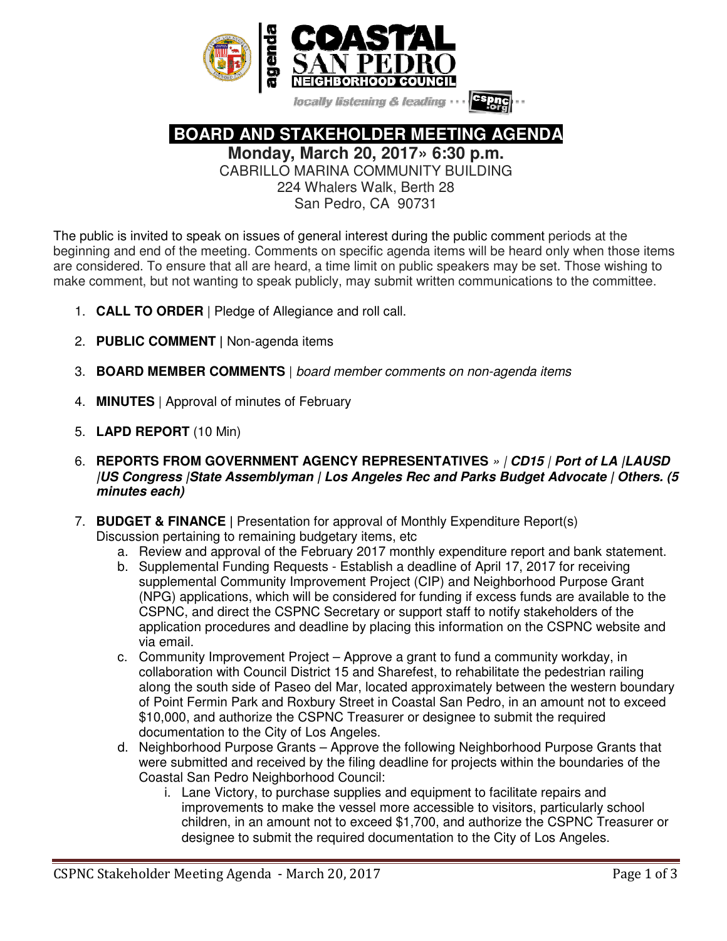

locally listening & leading

 **BOARD AND STAKEHOLDER MEETING AGENDA** 

**Monday, March 20, 2017» 6:30 p.m.** 

CABRILLO MARINA COMMUNITY BUILDING 224 Whalers Walk, Berth 28

San Pedro, CA 90731

The public is invited to speak on issues of general interest during the public comment periods at the beginning and end of the meeting. Comments on specific agenda items will be heard only when those items are considered. To ensure that all are heard, a time limit on public speakers may be set. Those wishing to make comment, but not wanting to speak publicly, may submit written communications to the committee.

- 1. **CALL TO ORDER** | Pledge of Allegiance and roll call.
- 2. **PUBLIC COMMENT |** Non-agenda items
- 3. **BOARD MEMBER COMMENTS** | board member comments on non-agenda items
- 4. **MINUTES** | Approval of minutes of February
- 5. **LAPD REPORT** (10 Min)
- 6. **REPORTS FROM GOVERNMENT AGENCY REPRESENTATIVES** » | **CD15** | **Port of LA |LAUSD |US Congress |State Assemblyman | Los Angeles Rec and Parks Budget Advocate | Others. (5 minutes each)**
- 7. **BUDGET & FINANCE |** Presentation for approval of Monthly Expenditure Report(s) Discussion pertaining to remaining budgetary items, etc
	- a. Review and approval of the February 2017 monthly expenditure report and bank statement.
	- b. Supplemental Funding Requests Establish a deadline of April 17, 2017 for receiving supplemental Community Improvement Project (CIP) and Neighborhood Purpose Grant (NPG) applications, which will be considered for funding if excess funds are available to the CSPNC, and direct the CSPNC Secretary or support staff to notify stakeholders of the application procedures and deadline by placing this information on the CSPNC website and via email.
	- c. Community Improvement Project Approve a grant to fund a community workday, in collaboration with Council District 15 and Sharefest, to rehabilitate the pedestrian railing along the south side of Paseo del Mar, located approximately between the western boundary of Point Fermin Park and Roxbury Street in Coastal San Pedro, in an amount not to exceed \$10,000, and authorize the CSPNC Treasurer or designee to submit the required documentation to the City of Los Angeles.
	- d. Neighborhood Purpose Grants Approve the following Neighborhood Purpose Grants that were submitted and received by the filing deadline for projects within the boundaries of the Coastal San Pedro Neighborhood Council:
		- i. Lane Victory, to purchase supplies and equipment to facilitate repairs and improvements to make the vessel more accessible to visitors, particularly school children, in an amount not to exceed \$1,700, and authorize the CSPNC Treasurer or designee to submit the required documentation to the City of Los Angeles.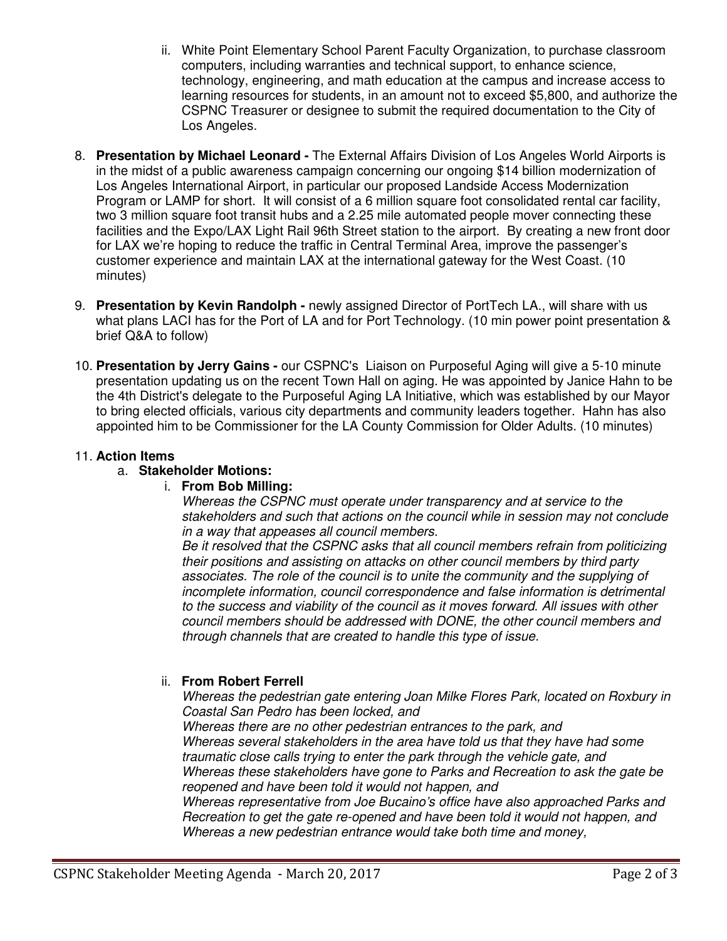- ii. White Point Elementary School Parent Faculty Organization, to purchase classroom computers, including warranties and technical support, to enhance science, technology, engineering, and math education at the campus and increase access to learning resources for students, in an amount not to exceed \$5,800, and authorize the CSPNC Treasurer or designee to submit the required documentation to the City of Los Angeles.
- 8. **Presentation by Michael Leonard** The External Affairs Division of Los Angeles World Airports is in the midst of a public awareness campaign concerning our ongoing \$14 billion modernization of Los Angeles International Airport, in particular our proposed Landside Access Modernization Program or LAMP for short. It will consist of a 6 million square foot consolidated rental car facility, two 3 million square foot transit hubs and a 2.25 mile automated people mover connecting these facilities and the Expo/LAX Light Rail 96th Street station to the airport. By creating a new front door for LAX we're hoping to reduce the traffic in Central Terminal Area, improve the passenger's customer experience and maintain LAX at the international gateway for the West Coast. (10 minutes)
- 9. **Presentation by Kevin Randolph** newly assigned Director of PortTech LA., will share with us what plans LACI has for the Port of LA and for Port Technology. (10 min power point presentation & brief Q&A to follow)
- 10. **Presentation by Jerry Gains -** our CSPNC's Liaison on Purposeful Aging will give a 5-10 minute presentation updating us on the recent Town Hall on aging. He was appointed by Janice Hahn to be the 4th District's delegate to the Purposeful Aging LA Initiative, which was established by our Mayor to bring elected officials, various city departments and community leaders together. Hahn has also appointed him to be Commissioner for the LA County Commission for Older Adults. (10 minutes)

## 11. **Action Items**

#### a. **Stakeholder Motions:**

#### i. **From Bob Milling:**

Whereas the CSPNC must operate under transparency and at service to the stakeholders and such that actions on the council while in session may not conclude in a way that appeases all council members.

Be it resolved that the CSPNC asks that all council members refrain from politicizing their positions and assisting on attacks on other council members by third party associates. The role of the council is to unite the community and the supplying of incomplete information, council correspondence and false information is detrimental to the success and viability of the council as it moves forward. All issues with other council members should be addressed with DONE, the other council members and through channels that are created to handle this type of issue.

## ii. **From Robert Ferrell**

Whereas the pedestrian gate entering Joan Milke Flores Park, located on Roxbury in Coastal San Pedro has been locked, and

Whereas there are no other pedestrian entrances to the park, and Whereas several stakeholders in the area have told us that they have had some traumatic close calls trying to enter the park through the vehicle gate, and Whereas these stakeholders have gone to Parks and Recreation to ask the gate be reopened and have been told it would not happen, and Whereas representative from Joe Bucaino's office have also approached Parks and

Recreation to get the gate re-opened and have been told it would not happen, and Whereas a new pedestrian entrance would take both time and money,